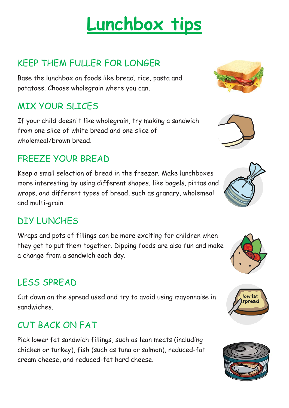# **Lunchbox tips**

## KEEP THEM FULLER FOR LONGER

Base the lunchbox on foods like bread, rice, pasta and potatoes. Choose wholegrain where you can.

## MIX YOUR SLICES

If your child doesn't like wholegrain, try making a sandwich from one slice of white bread and one slice of wholemeal/brown bread.

# FREEZE YOUR BREAD

Keep a small selection of bread in the freezer. Make lunchboxes more interesting by using different shapes, like bagels, pittas and wraps, and different types of bread, such as granary, wholemeal and multi-grain.

## DIY LUNCHES

Wraps and pots of fillings can be more exciting for children when they get to put them together. Dipping foods are also fun and make a change from a sandwich each day.

# LESS SPREAD

Cut down on the spread used and try to avoid using mayonnaise in sandwiches.

## CUT BACK ON FAT

Pick lower fat sandwich fillings, such as lean meats (including chicken or turkey), fish (such as tuna or salmon), reduced-fat cream cheese, and reduced-fat hard cheese.











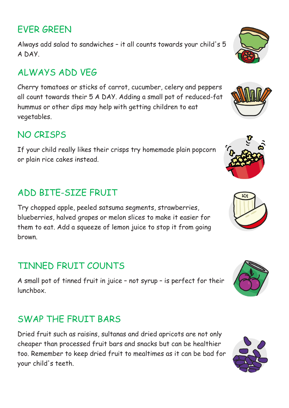### EVER GREEN

Always add salad to sandwiches – it all counts towards your child's 5 A DAY.

## ALWAYS ADD VEG

Cherry tomatoes or sticks of carrot, cucumber, celery and peppers all count towards their 5 A DAY. Adding a small pot of reduced-fat hummus or other dips may help with getting children to eat vegetables.

#### NO CRISPS

If your child really likes their crisps try homemade plain popcorn or plain rice cakes instead.

## ADD BITE-SIZE FRUIT

Try chopped apple, peeled satsuma segments, strawberries, blueberries, halved grapes or melon slices to make it easier for them to eat. Add a squeeze of lemon juice to stop it from going brown.

## TINNED FRUIT COUNTS

A small pot of tinned fruit in juice – not syrup – is perfect for their lunchbox.

#### SWAP THE FRUIT BARS

Dried fruit such as raisins, sultanas and dried apricots are not only cheaper than processed fruit bars and snacks but can be healthier too. Remember to keep dried fruit to mealtimes as it can be bad for your child's teeth.